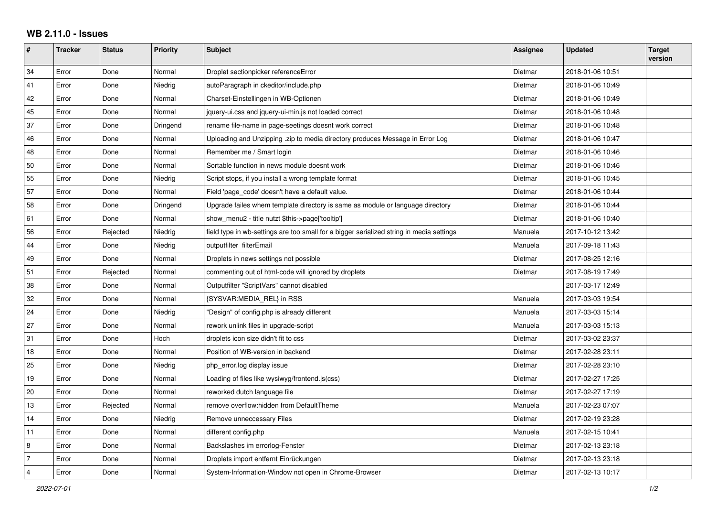## **WB 2.11.0 - Issues**

| #              | <b>Tracker</b> | <b>Status</b> | <b>Priority</b> | <b>Subject</b>                                                                           | Assignee | <b>Updated</b>   | <b>Target</b><br>version |
|----------------|----------------|---------------|-----------------|------------------------------------------------------------------------------------------|----------|------------------|--------------------------|
| 34             | Error          | Done          | Normal          | Droplet sectionpicker referenceError                                                     | Dietmar  | 2018-01-06 10:51 |                          |
| 41             | Error          | Done          | Niedrig         | autoParagraph in ckeditor/include.php                                                    | Dietmar  | 2018-01-06 10:49 |                          |
| 42             | Error          | Done          | Normal          | Charset-Einstellingen in WB-Optionen                                                     | Dietmar  | 2018-01-06 10:49 |                          |
| 45             | Error          | Done          | Normal          | jquery-ui.css and jquery-ui-min.js not loaded correct                                    | Dietmar  | 2018-01-06 10:48 |                          |
| 37             | Error          | Done          | Dringend        | rename file-name in page-seetings doesnt work correct                                    | Dietmar  | 2018-01-06 10:48 |                          |
| 46             | Error          | Done          | Normal          | Uploading and Unzipping .zip to media directory produces Message in Error Log            | Dietmar  | 2018-01-06 10:47 |                          |
| 48             | Error          | Done          | Normal          | Remember me / Smart login                                                                | Dietmar  | 2018-01-06 10:46 |                          |
| 50             | Error          | Done          | Normal          | Sortable function in news module doesnt work                                             | Dietmar  | 2018-01-06 10:46 |                          |
| 55             | Error          | Done          | Niedrig         | Script stops, if you install a wrong template format                                     | Dietmar  | 2018-01-06 10:45 |                          |
| 57             | Error          | Done          | Normal          | Field 'page_code' doesn't have a default value.                                          | Dietmar  | 2018-01-06 10:44 |                          |
| 58             | Error          | Done          | Dringend        | Upgrade failes whem template directory is same as module or language directory           | Dietmar  | 2018-01-06 10:44 |                          |
| 61             | Error          | Done          | Normal          | show_menu2 - title nutzt \$this->page['tooltip']                                         | Dietmar  | 2018-01-06 10:40 |                          |
| 56             | Error          | Rejected      | Niedrig         | field type in wb-settings are too small for a bigger serialized string in media settings | Manuela  | 2017-10-12 13:42 |                          |
| 44             | Error          | Done          | Niedrig         | outputfilter filterEmail                                                                 | Manuela  | 2017-09-18 11:43 |                          |
| 49             | Error          | Done          | Normal          | Droplets in news settings not possible                                                   | Dietmar  | 2017-08-25 12:16 |                          |
| 51             | Error          | Rejected      | Normal          | commenting out of html-code will ignored by droplets                                     | Dietmar  | 2017-08-19 17:49 |                          |
| 38             | Error          | Done          | Normal          | Outputfilter "ScriptVars" cannot disabled                                                |          | 2017-03-17 12:49 |                          |
| 32             | Error          | Done          | Normal          | {SYSVAR:MEDIA_REL} in RSS                                                                | Manuela  | 2017-03-03 19:54 |                          |
| 24             | Error          | Done          | Niedrig         | "Design" of config.php is already different                                              | Manuela  | 2017-03-03 15:14 |                          |
| 27             | Error          | Done          | Normal          | rework unlink files in upgrade-script                                                    | Manuela  | 2017-03-03 15:13 |                          |
| 31             | Error          | Done          | Hoch            | droplets icon size didn't fit to css                                                     | Dietmar  | 2017-03-02 23:37 |                          |
| 18             | Error          | Done          | Normal          | Position of WB-version in backend                                                        | Dietmar  | 2017-02-28 23:11 |                          |
| 25             | Error          | Done          | Niedrig         | php_error.log display issue                                                              | Dietmar  | 2017-02-28 23:10 |                          |
| 19             | Error          | Done          | Normal          | Loading of files like wysiwyg/frontend.js(css)                                           | Dietmar  | 2017-02-27 17:25 |                          |
| 20             | Error          | Done          | Normal          | reworked dutch language file                                                             | Dietmar  | 2017-02-27 17:19 |                          |
| 13             | Error          | Rejected      | Normal          | remove overflow:hidden from DefaultTheme                                                 | Manuela  | 2017-02-23 07:07 |                          |
| 14             | Error          | Done          | Niedrig         | Remove unneccessary Files                                                                | Dietmar  | 2017-02-19 23:28 |                          |
| 11             | Error          | Done          | Normal          | different config.php                                                                     | Manuela  | 2017-02-15 10:41 |                          |
| 8              | Error          | Done          | Normal          | Backslashes im errorlog-Fenster                                                          | Dietmar  | 2017-02-13 23:18 |                          |
| $\overline{7}$ | Error          | Done          | Normal          | Droplets import entfernt Einrückungen                                                    | Dietmar  | 2017-02-13 23:18 |                          |
| $\overline{4}$ | Error          | Done          | Normal          | System-Information-Window not open in Chrome-Browser                                     | Dietmar  | 2017-02-13 10:17 |                          |